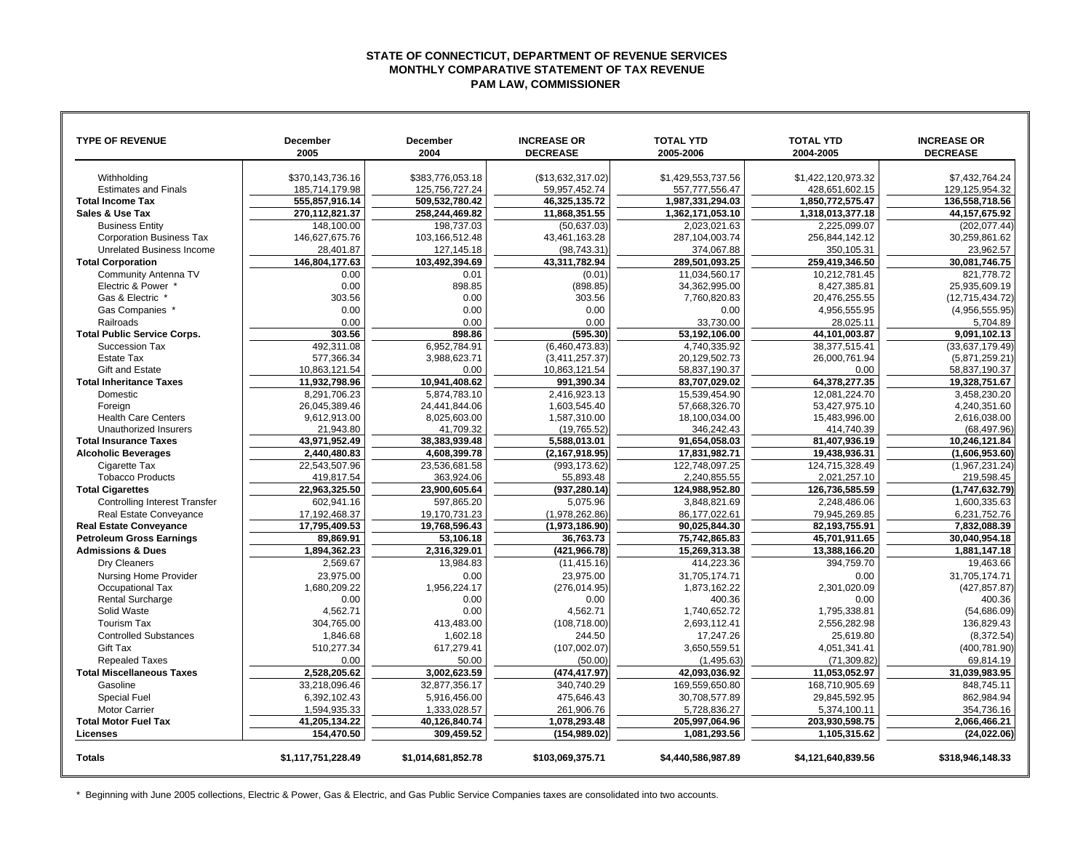## **STATE OF CONNECTICUT, DEPARTMENT OF REVENUE SERVICES MONTHLY COMPARATIVE STATEMENT OF TAX REVENUE PAM LAW, COMMISSIONER**

┓

| <b>TYPE OF REVENUE</b>                             | <b>December</b><br>2005     | <b>December</b><br>2004     | <b>INCREASE OR</b><br><b>DECREASE</b> | <b>TOTAL YTD</b><br>2005-2006  | <b>TOTAL YTD</b><br>2004-2005  | <b>INCREASE OR</b><br><b>DECREASE</b> |
|----------------------------------------------------|-----------------------------|-----------------------------|---------------------------------------|--------------------------------|--------------------------------|---------------------------------------|
|                                                    |                             |                             |                                       |                                |                                |                                       |
| Withholding                                        | \$370,143,736.16            | \$383,776,053.18            | (\$13,632,317.02)                     | \$1,429,553,737.56             | \$1,422,120,973.32             | \$7,432,764.24                        |
| <b>Estimates and Finals</b>                        | 185,714,179.98              | 125,756,727.24              | 59,957,452.74                         | 557,777,556.47                 | 428,651,602.15                 | 129,125,954.32                        |
| <b>Total Income Tax</b>                            | 555,857,916.14              | 509,532,780.42              | 46,325,135.72                         | 1,987,331,294.03               | 1,850,772,575.47               | 136,558,718.56                        |
| Sales & Use Tax                                    | 270.112.821.37              | 258.244.469.82              | 11.868.351.55                         | 1,362,171,053.10               | 1.318.013.377.18               | 44.157.675.92                         |
| <b>Business Entity</b>                             | 148,100.00                  | 198,737.03                  | (50, 637.03)                          | 2,023,021.63                   | 2,225,099.07                   | (202,077.44                           |
| <b>Corporation Business Tax</b>                    | 146,627,675.76              | 103.166.512.48              | 43,461,163.28                         | 287.104.003.74                 | 256.844.142.12                 | 30.259.861.62                         |
| Unrelated Business Income                          | 28,401.87                   | 127,145.18                  | (98,743.31)                           | 374,067.88                     | 350,105.31                     | 23,962.57                             |
| <b>Total Corporation</b>                           | 146,804,177.63              | 103,492,394.69              | 43,311,782.94                         | 289,501,093.25                 | 259,419,346.50                 | 30,081,746.75                         |
| Community Antenna TV                               | 0.00                        | 0.01                        | (0.01)                                | 11,034,560.17                  | 10,212,781.45                  | 821.778.72                            |
| Electric & Power                                   | 0.00                        | 898.85                      | (898.85)                              | 34.362.995.00                  | 8.427.385.81                   | 25.935.609.19                         |
| Gas & Electric                                     | 303.56                      | 0.00                        | 303.56                                | 7,760,820.83                   | 20,476,255.55                  | (12,715,434.72)                       |
| Gas Companies '                                    | 0.00                        | 0.00                        | 0.00                                  | 0.00                           | 4,956,555.95                   | (4,956,555.95)                        |
| Railroads                                          | 0.00                        | 0.00                        | 0.00                                  | 33,730.00                      | 28,025.11                      | 5,704.89                              |
| <b>Total Public Service Corps.</b>                 | 303.56                      | 898.86                      | (595.30)                              | 53.192.106.00                  | 44,101,003.87                  | 9.091.102.13                          |
| Succession Tax                                     | 492,311.08                  | 6,952,784.91                | (6,460,473.83)                        | 4,740,335.92                   | 38,377,515.41                  | (33,637,179.49)                       |
| Estate Tax                                         | 577,366.34                  | 3,988,623.71                | (3,411,257.37)                        | 20,129,502.73                  | 26,000,761.94                  | (5,871,259.21                         |
| Gift and Estate                                    | 10,863,121.54               | 0.00                        | 10,863,121.54                         | 58,837,190.37                  | 0.00                           | 58,837,190.37                         |
| <b>Total Inheritance Taxes</b>                     | 11,932,798.96               | 10,941,408.62               | 991,390.34                            | 83,707,029.02                  | 64,378,277.35                  | 19,328,751.67                         |
| Domestic                                           | 8,291,706.23                | 5,874,783.10                | 2,416,923.13                          | 15,539,454.90                  | 12,081,224.70                  | 3,458,230.20                          |
| Foreign                                            | 26,045,389.46               | 24,441,844.06               | 1,603,545.40                          | 57,668,326.70                  | 53,427,975.10                  | 4,240,351.60                          |
| <b>Health Care Centers</b>                         | 9,612,913.00                | 8,025,603.00                | 1,587,310.00                          | 18,100,034.00                  | 15,483,996.00                  | 2,616,038.00                          |
| Unauthorized Insurers                              | 21,943.80                   | 41,709.32                   | (19, 765.52)                          | 346,242.43                     | 414,740.39                     | (68,497.96                            |
| <b>Total Insurance Taxes</b>                       | 43.971.952.49               | 38.383.939.48               | 5.588.013.01                          | 91,654,058.03                  | 81,407,936.19                  | 10.246.121.84                         |
| <b>Alcoholic Beverages</b>                         | 2,440,480.83                | 4,608,399.78                | (2, 167, 918.95)                      | 17,831,982.71                  | 19,438,936.31                  | (1,606,953.60)                        |
| Cigarette Tax                                      | 22.543.507.96               | 23.536.681.58               | (993,173.62)                          | 122.748.097.25<br>2.240.855.55 | 124,715,328.49                 | (1,967,231.24)                        |
| <b>Tobacco Products</b><br><b>Total Cigarettes</b> | 419,817.54<br>22,963,325.50 | 363,924.06<br>23,900,605.64 | 55,893.48<br>(937, 280.14)            | 124,988,952.80                 | 2,021,257.10<br>126,736,585.59 | 219,598.45<br>(1,747,632.79)          |
| <b>Controlling Interest Transfer</b>               | 602,941.16                  | 597,865.20                  | 5.075.96                              | 3,848,821.69                   | 2,248,486.06                   | 1,600,335.63                          |
| <b>Real Estate Convevance</b>                      | 17,192,468.37               | 19,170,731.23               | (1,978,262.86)                        | 86,177,022.61                  | 79,945,269.85                  | 6,231,752.76                          |
| <b>Real Estate Conveyance</b>                      | 17,795,409.53               | 19,768,596.43               | (1,973,186.90)                        | 90,025,844.30                  | 82,193,755.91                  | 7,832,088.39                          |
| <b>Petroleum Gross Earnings</b>                    | 89,869.91                   | 53,106.18                   | 36,763.73                             | 75,742,865.83                  | 45,701,911.65                  | 30,040,954.18                         |
| <b>Admissions &amp; Dues</b>                       | 1,894,362.23                | 2,316,329.01                | (421.966.78)                          | 15.269.313.38                  | 13.388.166.20                  | 1,881,147.18                          |
| Dry Cleaners                                       | 2,569.67                    | 13,984.83                   | (11, 415.16)                          | 414,223.36                     | 394,759.70                     | 19,463.66                             |
| Nursing Home Provider                              | 23.975.00                   | 0.00                        | 23.975.00                             | 31,705,174.71                  | 0.00                           | 31.705.174.71                         |
| Occupational Tax                                   | 1.680.209.22                | 1.956.224.17                | (276.014.95)                          | 1.873.162.22                   | 2.301.020.09                   | (427.857.87)                          |
| <b>Rental Surcharge</b>                            | 0.00                        | 0.00                        | 0.00                                  | 400.36                         | 0.00                           | 400.36                                |
| Solid Waste                                        | 4,562.71                    | 0.00                        | 4,562.71                              | 1,740,652.72                   | 1,795,338.81                   | (54,686.09)                           |
| <b>Tourism Tax</b>                                 | 304.765.00                  | 413.483.00                  | (108.718.00)                          | 2.693.112.41                   | 2.556.282.98                   | 136.829.43                            |
| <b>Controlled Substances</b>                       | 1,846.68                    | 1,602.18                    | 244.50                                | 17,247.26                      | 25,619.80                      | (8,372.54)                            |
| <b>Gift Tax</b>                                    | 510,277.34                  | 617,279.41                  | (107,002.07)                          | 3,650,559.51                   | 4,051,341.41                   | (400,781.90)                          |
| <b>Repealed Taxes</b>                              | 0.00                        | 50.00                       | (50.00)                               | (1.495.63)                     | (71, 309.82)                   | 69.814.19                             |
| <b>Total Miscellaneous Taxes</b>                   | 2,528,205.62                | 3,002,623.59                | (474, 417.97)                         | 42,093,036.92                  | 11,053,052.97                  | 31,039,983.95                         |
| Gasoline                                           | 33,218,096.46               | 32,877,356.17               | 340.740.29                            | 169,559,650.80                 | 168,710,905.69                 | 848.745.11                            |
| <b>Special Fuel</b>                                | 6,392,102.43                | 5,916,456.00                | 475,646.43                            | 30,708,577.89                  | 29,845,592.95                  | 862,984.94                            |
| <b>Motor Carrier</b>                               | 1,594,935.33                | 1,333,028.57                | 261,906.76                            | 5,728,836.27                   | 5,374,100.11                   | 354,736.16                            |
| <b>Total Motor Fuel Tax</b>                        | 41,205,134.22               | 40,126,840.74               | 1,078,293.48                          | 205,997,064.96                 | 203,930,598.75                 | 2,066,466.21                          |
| Licenses                                           | 154,470.50                  | 309.459.52                  | (154,989.02)                          | 1,081,293.56                   | 1,105,315.62                   | (24.022.06)                           |
| <b>Totals</b>                                      | \$1,117,751,228.49          | \$1,014,681,852.78          | \$103,069,375.71                      | \$4,440,586,987.89             | \$4,121,640,839.56             | \$318,946,148.33                      |

\* Beginning with June 2005 collections, Electric & Power, Gas & Electric, and Gas Public Service Companies taxes are consolidated into two accounts.